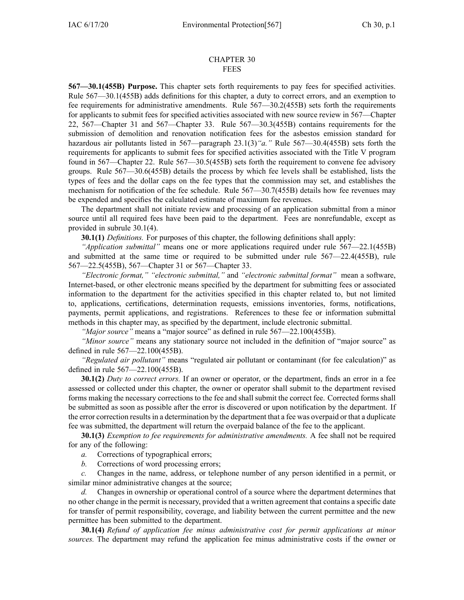#### CHAPTER 30 FEES

**567—30.1(455B) Purpose.** This chapter sets forth requirements to pay fees for specified activities. Rule [567—30.1](https://www.legis.iowa.gov/docs/iac/rule/567.30.1.pdf)(455B) adds definitions for this chapter, <sup>a</sup> duty to correct errors, and an exemption to fee requirements for administrative amendments. Rule [567—30.2](https://www.legis.iowa.gov/docs/iac/rule/567.30.2.pdf)(455B) sets forth the requirements for applicants to submit fees for specified activities associated with new source review in [567—Chapter](https://www.legis.iowa.gov/docs/iac/chapter/567.22.pdf) [22](https://www.legis.iowa.gov/docs/iac/chapter/567.22.pdf), [567—Chapter](https://www.legis.iowa.gov/docs/iac/chapter/567.31.pdf) 31 and [567—Chapter](https://www.legis.iowa.gov/docs/iac/chapter/567.33.pdf) 33. Rule [567—30.3\(](https://www.legis.iowa.gov/docs/iac/rule/567.30.3.pdf)455B) contains requirements for the submission of demolition and renovation notification fees for the asbestos emission standard for hazardous air pollutants listed in [567—paragraph](https://www.legis.iowa.gov/docs/iac/rule/567.23.1.pdf) 23.1(3)*"a."* Rule [567—30.4](https://www.legis.iowa.gov/docs/iac/rule/567.30.4.pdf)(455B) sets forth the requirements for applicants to submit fees for specified activities associated with the Title V program found in [567—Chapter](https://www.legis.iowa.gov/docs/iac/chapter/567.22.pdf) 22. Rule [567—30.5](https://www.legis.iowa.gov/docs/iac/rule/567.30.5.pdf)(455B) sets forth the requirement to convene fee advisory groups. Rule [567—30.6](https://www.legis.iowa.gov/docs/iac/rule/567.30.6.pdf)(455B) details the process by which fee levels shall be established, lists the types of fees and the dollar caps on the fee types that the commission may set, and establishes the mechanism for notification of the fee schedule. Rule [567—30.7](https://www.legis.iowa.gov/docs/iac/rule/567.30.7.pdf)(455B) details how fee revenues may be expended and specifies the calculated estimate of maximum fee revenues.

The department shall not initiate review and processing of an application submittal from <sup>a</sup> minor source until all required fees have been paid to the department. Fees are nonrefundable, excep<sup>t</sup> as provided in subrule 30.1(4).

**30.1(1)** *Definitions.* For purposes of this chapter, the following definitions shall apply:

*"Application submittal"* means one or more applications required under rule [567—22.1](https://www.legis.iowa.gov/docs/iac/rule/567.22.1.pdf)(455B) and submitted at the same time or required to be submitted under rule [567—22.4](https://www.legis.iowa.gov/docs/iac/rule/567.22.4.pdf)(455B), rule [567—22.5](https://www.legis.iowa.gov/docs/iac/rule/567.22.5.pdf)(455B), [567—Chapter](https://www.legis.iowa.gov/docs/iac/chapter/567.31.pdf) 31 or [567—Chapter](https://www.legis.iowa.gov/docs/iac/chapter/567.33.pdf) 33.

*"Electronic format," "electronic submittal,"* and *"electronic submittal format"* mean <sup>a</sup> software, Internet-based, or other electronic means specified by the department for submitting fees or associated information to the department for the activities specified in this chapter related to, but not limited to, applications, certifications, determination requests, emissions inventories, forms, notifications, payments, permit applications, and registrations. References to these fee or information submittal methods in this chapter may, as specified by the department, include electronic submittal.

*"Major source"* means <sup>a</sup> "major source" as defined in rule [567—22.100](https://www.legis.iowa.gov/docs/iac/rule/567.22.100.pdf)(455B).

*"Minor source"* means any stationary source not included in the definition of "major source" as defined in rule [567—22.100\(](https://www.legis.iowa.gov/docs/iac/rule/567.22.100.pdf)455B).

*"Regulated air pollutant"* means "regulated air pollutant or contaminant (for fee calculation)" as defined in rule [567—22.100\(](https://www.legis.iowa.gov/docs/iac/rule/567.22.100.pdf)455B).

**30.1(2)** *Duty to correct errors.* If an owner or operator, or the department, finds an error in <sup>a</sup> fee assessed or collected under this chapter, the owner or operator shall submit to the department revised forms making the necessary corrections to the fee and shall submit the correct fee. Corrected forms shall be submitted as soon as possible after the error is discovered or upon notification by the department. If the error correction resultsin <sup>a</sup> determination by the department that <sup>a</sup> fee was overpaid or that <sup>a</sup> duplicate fee was submitted, the department will return the overpaid balance of the fee to the applicant.

**30.1(3)** *Exemption to fee requirements for administrative amendments.* A fee shall not be required for any of the following:

*a.* Corrections of typographical errors;

*b.* Corrections of word processing errors;

*c.* Changes in the name, address, or telephone number of any person identified in <sup>a</sup> permit, or similar minor administrative changes at the source;

*d.* Changes in ownership or operational control of <sup>a</sup> source where the department determines that no other change in the permit is necessary, provided that <sup>a</sup> written agreemen<sup>t</sup> that contains <sup>a</sup> specific date for transfer of permit responsibility, coverage, and liability between the current permittee and the new permittee has been submitted to the department.

**30.1(4)** *Refund of application fee minus administrative cost for permit applications at minor sources.* The department may refund the application fee minus administrative costs if the owner or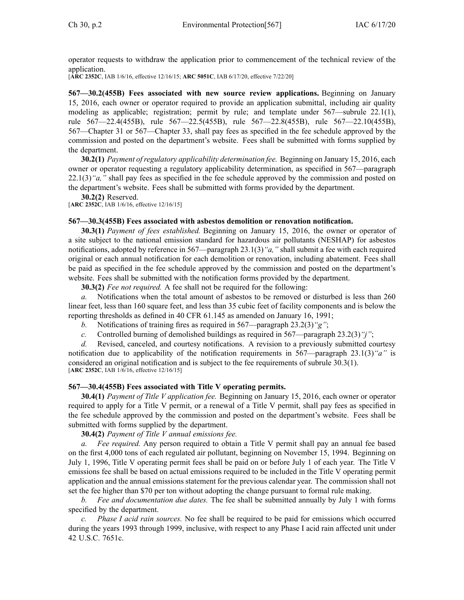operator requests to withdraw the application prior to commencement of the technical review of the application.

[**ARC [2352C](https://www.legis.iowa.gov/docs/aco/arc/2352C.pdf)**, IAB 1/6/16, effective 12/16/15; **ARC [5051C](https://www.legis.iowa.gov/docs/aco/arc/5051C.pdf)**, IAB 6/17/20, effective 7/22/20]

**567—30.2(455B) Fees associated with new source review applications.** Beginning on January 15, 2016, each owner or operator required to provide an application submittal, including air quality modeling as applicable; registration; permit by rule; and template under [567—subrule](https://www.legis.iowa.gov/docs/iac/rule/567.22.1.pdf) 22.1(1), rule [567—22.4](https://www.legis.iowa.gov/docs/iac/rule/567.22.10.pdf)(455B), rule [567—22.5](https://www.legis.iowa.gov/docs/iac/rule/567.22.5.pdf)(455B), rule [567—22.8](https://www.legis.iowa.gov/docs/iac/rule/567.22.8.pdf)(455B), rule [567—22.10](https://www.legis.iowa.gov/docs/iac/rule/567.22.10.pdf)(455B), [567—Chapter](https://www.legis.iowa.gov/docs/iac/chapter/567.31.pdf) 31 or [567—Chapter](https://www.legis.iowa.gov/docs/iac/chapter/567.33.pdf) 33, shall pay fees as specified in the fee schedule approved by the commission and posted on the department's website. Fees shall be submitted with forms supplied by the department.

**30.2(1)** *Payment ofregulatory applicability determination fee.* Beginning on January 15, 2016, each owner or operator requesting <sup>a</sup> regulatory applicability determination, as specified in [567—paragraph](https://www.legis.iowa.gov/docs/iac/rule/567.22.1.pdf) [22.1\(3\)](https://www.legis.iowa.gov/docs/iac/rule/567.22.1.pdf)*"a,"* shall pay fees as specified in the fee schedule approved by the commission and posted on the department's website. Fees shall be submitted with forms provided by the department.

**30.2(2)** Reserved.

[**ARC [2352C](https://www.legis.iowa.gov/docs/aco/arc/2352C.pdf)**, IAB 1/6/16, effective 12/16/15]

### **567—30.3(455B) Fees associated with asbestos demolition or renovation notification.**

**30.3(1)** *Payment of fees established.* Beginning on January 15, 2016, the owner or operator of <sup>a</sup> site subject to the national emission standard for hazardous air pollutants (NESHAP) for asbestos notifications, adopted by reference in [567—paragraph](https://www.legis.iowa.gov/docs/iac/rule/567.23.1.pdf) 23.1(3)*"a,"* shall submit <sup>a</sup> fee with each required original or each annual notification for each demolition or renovation, including abatement. Fees shall be paid as specified in the fee schedule approved by the commission and posted on the department's website. Fees shall be submitted with the notification forms provided by the department.

**30.3(2)** *Fee not required.* A fee shall not be required for the following:

*a.* Notifications when the total amount of asbestos to be removed or disturbed is less than 260 linear feet, less than 160 square feet, and less than 35 cubic feet of facility components and is below the reporting thresholds as defined in 40 CFR 61.145 as amended on January 16, 1991;

- *b.* Notifications of training fires as required in [567—paragraph](https://www.legis.iowa.gov/docs/iac/rule/567.23.2.pdf) 23.2(3)*"g"*;
- *c.* Controlled burning of demolished buildings as required in [567—paragraph](https://www.legis.iowa.gov/docs/iac/rule/567.23.2.pdf) 23.2(3)*"j"*;

*d.* Revised, canceled, and courtesy notifications. A revision to <sup>a</sup> previously submitted courtesy notification due to applicability of the notification requirements in [567—paragraph](https://www.legis.iowa.gov/docs/iac/rule/567.23.1.pdf) 23.1(3)*"a"* is considered an original notification and is subject to the fee requirements of subrule [30.3\(1\)](https://www.legis.iowa.gov/docs/iac/rule/567.30.3.pdf). [**ARC [2352C](https://www.legis.iowa.gov/docs/aco/arc/2352C.pdf)**, IAB 1/6/16, effective 12/16/15]

# **567—30.4(455B) Fees associated with Title V operating permits.**

**30.4(1)** *Payment of Title V application fee.* Beginning on January 15, 2016, each owner or operator required to apply for <sup>a</sup> Title V permit, or <sup>a</sup> renewal of <sup>a</sup> Title V permit, shall pay fees as specified in the fee schedule approved by the commission and posted on the department's website. Fees shall be submitted with forms supplied by the department.

# **30.4(2)** *Payment of Title V annual emissions fee.*

*a. Fee required.* Any person required to obtain <sup>a</sup> Title V permit shall pay an annual fee based on the first 4,000 tons of each regulated air pollutant, beginning on November 15, 1994. Beginning on July 1, 1996, Title V operating permit fees shall be paid on or before July 1 of each year. The Title V emissions fee shall be based on actual emissions required to be included in the Title V operating permit application and the annual emissions statement for the previous calendar year. The commission shall not set the fee higher than \$70 per ton without adopting the change pursuan<sup>t</sup> to formal rule making.

*b. Fee and documentation due dates.* The fee shall be submitted annually by July 1 with forms specified by the department.

*c. Phase I acid rain sources.* No fee shall be required to be paid for emissions which occurred during the years 1993 through 1999, inclusive, with respec<sup>t</sup> to any Phase I acid rain affected unit under 42 U.S.C. 7651c.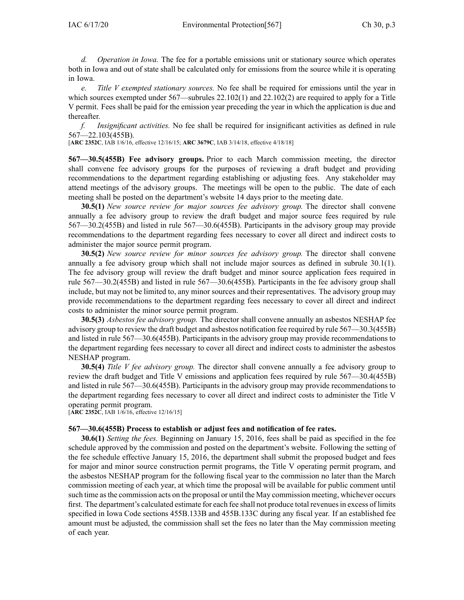*d. Operation in Iowa.* The fee for <sup>a</sup> portable emissions unit or stationary source which operates both in Iowa and out of state shall be calculated only for emissions from the source while it is operating in Iowa.

*e. Title V exempted stationary sources.* No fee shall be required for emissions until the year in which sources exempted under  $567$ —subrules  $22.102(1)$  and  $22.102(2)$  are required to apply for a Title V permit. Fees shall be paid for the emission year preceding the year in which the application is due and thereafter.

*f. Insignificant activities.* No fee shall be required for insignificant activities as defined in rule [567—22.103](https://www.legis.iowa.gov/docs/iac/rule/567.22.103.pdf)(455B).

[**ARC [2352C](https://www.legis.iowa.gov/docs/aco/arc/2352C.pdf)**, IAB 1/6/16, effective 12/16/15; **ARC [3679C](https://www.legis.iowa.gov/docs/aco/arc/3679C.pdf)**, IAB 3/14/18, effective 4/18/18]

**567—30.5(455B) Fee advisory groups.** Prior to each March commission meeting, the director shall convene fee advisory groups for the purposes of reviewing <sup>a</sup> draft budget and providing recommendations to the department regarding establishing or adjusting fees. Any stakeholder may attend meetings of the advisory groups. The meetings will be open to the public. The date of each meeting shall be posted on the department's website 14 days prior to the meeting date.

**30.5(1)** *New source review for major sources fee advisory group.* The director shall convene annually <sup>a</sup> fee advisory group to review the draft budget and major source fees required by rule [567—30.2](https://www.legis.iowa.gov/docs/iac/rule/567.30.2.pdf)(455B) and listed in rule [567—30.6](https://www.legis.iowa.gov/docs/iac/rule/567.30.6.pdf)(455B). Participants in the advisory group may provide recommendations to the department regarding fees necessary to cover all direct and indirect costs to administer the major source permit program.

**30.5(2)** *New source review for minor sources fee advisory group.* The director shall convene annually <sup>a</sup> fee advisory group which shall not include major sources as defined in subrule [30.1\(1\)](https://www.legis.iowa.gov/docs/iac/rule/567.30.1.pdf). The fee advisory group will review the draft budget and minor source application fees required in rule [567—30.2](https://www.legis.iowa.gov/docs/iac/rule/567.30.2.pdf)(455B) and listed in rule [567—30.6](https://www.legis.iowa.gov/docs/iac/rule/567.30.6.pdf)(455B). Participants in the fee advisory group shall include, but may not be limited to, any minor sources and their representatives. The advisory group may provide recommendations to the department regarding fees necessary to cover all direct and indirect costs to administer the minor source permit program.

**30.5(3)** *Asbestos fee advisory group.* The director shall convene annually an asbestos NESHAP fee advisory group to review the draft budget and asbestos notification fee required by rule [567—30.3](https://www.legis.iowa.gov/docs/iac/rule/567.30.3.pdf)(455B) and listed in rule [567—30.6](https://www.legis.iowa.gov/docs/iac/rule/567.30.6.pdf)(455B). Participants in the advisory group may provide recommendations to the department regarding fees necessary to cover all direct and indirect costs to administer the asbestos NESHAP program.

**30.5(4)** *Title V fee advisory group.* The director shall convene annually <sup>a</sup> fee advisory group to review the draft budget and Title V emissions and application fees required by rule [567—30.4](https://www.legis.iowa.gov/docs/iac/rule/567.30.4.pdf)(455B) and listed in rule [567—30.6](https://www.legis.iowa.gov/docs/iac/rule/567.30.6.pdf)(455B). Participants in the advisory group may provide recommendations to the department regarding fees necessary to cover all direct and indirect costs to administer the Title V operating permit program.

[**ARC [2352C](https://www.legis.iowa.gov/docs/aco/arc/2352C.pdf)**, IAB 1/6/16, effective 12/16/15]

### **567—30.6(455B) Process to establish or adjust fees and notification of fee rates.**

**30.6(1)** *Setting the fees.* Beginning on January 15, 2016, fees shall be paid as specified in the fee schedule approved by the commission and posted on the department's website. Following the setting of the fee schedule effective January 15, 2016, the department shall submit the proposed budget and fees for major and minor source construction permit programs, the Title V operating permit program, and the asbestos NESHAP program for the following fiscal year to the commission no later than the March commission meeting of each year, at which time the proposal will be available for public comment until such time asthe commission acts on the proposal or until the May commission meeting, whichever occurs first. The department's calculated estimate for each fee shall not produce total revenues in excess of limits specified in Iowa Code sections [455B.133B](https://www.legis.iowa.gov/docs/ico/section/455B.133B.pdf) and [455B.133C](https://www.legis.iowa.gov/docs/ico/section/455B.133C.pdf) during any fiscal year. If an established fee amount must be adjusted, the commission shall set the fees no later than the May commission meeting of each year.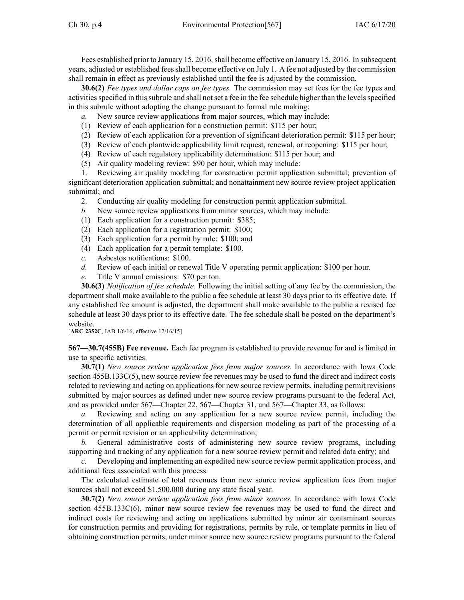Fees established prior to January 15, 2016, shall become effective on January 15, 2016. In subsequent years, adjusted or established feesshall become effective on July 1. A fee not adjusted by the commission shall remain in effect as previously established until the fee is adjusted by the commission.

**30.6(2)** *Fee types and dollar caps on fee types.* The commission may set fees for the fee types and activities specified in this subrule and shall not set a fee in the fee schedule higher than the levels specified in this subrule without adopting the change pursuan<sup>t</sup> to formal rule making:

- *a.* New source review applications from major sources, which may include:
- (1) Review of each application for <sup>a</sup> construction permit: \$115 per hour;
- (2) Review of each application for <sup>a</sup> prevention of significant deterioration permit: \$115 per hour;
- (3) Review of each plantwide applicability limit request, renewal, or reopening: \$115 per hour;
- (4) Review of each regulatory applicability determination: \$115 per hour; and
- (5) Air quality modeling review: \$90 per hour, which may include:

1. Reviewing air quality modeling for construction permit application submittal; prevention of significant deterioration application submittal; and nonattainment new source review project application submittal; and

- 2. Conducting air quality modeling for construction permit application submittal.
- *b.* New source review applications from minor sources, which may include:
- (1) Each application for <sup>a</sup> construction permit: \$385;
- (2) Each application for <sup>a</sup> registration permit: \$100;
- (3) Each application for <sup>a</sup> permit by rule: \$100; and
- (4) Each application for <sup>a</sup> permit template: \$100.
- *c.* Asbestos notifications: \$100.
- *d.* Review of each initial or renewal Title V operating permit application: \$100 per hour.
- *e.* Title V annual emissions: \$70 per ton.

**30.6(3)** *Notification of fee schedule.* Following the initial setting of any fee by the commission, the department shall make available to the public <sup>a</sup> fee schedule at least 30 days prior to its effective date. If any established fee amount is adjusted, the department shall make available to the public <sup>a</sup> revised fee schedule at least 30 days prior to its effective date. The fee schedule shall be posted on the department's website.

[**ARC [2352C](https://www.legis.iowa.gov/docs/aco/arc/2352C.pdf)**, IAB 1/6/16, effective 12/16/15]

**567—30.7(455B) Fee revenue.** Each fee program is established to provide revenue for and is limited in use to specific activities.

**30.7(1)** *New source review application fees from major sources.* In accordance with Iowa Code section [455B.133C\(5\)](https://www.legis.iowa.gov/docs/ico/section/455B.133C.pdf), new source review fee revenues may be used to fund the direct and indirect costs related to reviewing and acting on applications for new source review permits, including permit revisions submitted by major sources as defined under new source review programs pursuan<sup>t</sup> to the federal Act, and as provided under [567—Chapter](https://www.legis.iowa.gov/docs/iac/chapter/567.22.pdf) 22, [567—Chapter](https://www.legis.iowa.gov/docs/iac/chapter/567.31.pdf) 31, and [567—Chapter](https://www.legis.iowa.gov/docs/iac/chapter/567.33.pdf) 33, as follows:

*a.* Reviewing and acting on any application for <sup>a</sup> new source review permit, including the determination of all applicable requirements and dispersion modeling as par<sup>t</sup> of the processing of <sup>a</sup> permit or permit revision or an applicability determination;

*b.* General administrative costs of administering new source review programs, including supporting and tracking of any application for <sup>a</sup> new source review permit and related data entry; and

*c.* Developing and implementing an expedited new source review permit application process, and additional fees associated with this process.

The calculated estimate of total revenues from new source review application fees from major sources shall not exceed \$1,500,000 during any state fiscal year.

**30.7(2)** *New source review application fees from minor sources.* In accordance with Iowa Code section [455B.133C\(6\)](https://www.legis.iowa.gov/docs/ico/section/455B.133C.pdf), minor new source review fee revenues may be used to fund the direct and indirect costs for reviewing and acting on applications submitted by minor air contaminant sources for construction permits and providing for registrations, permits by rule, or template permits in lieu of obtaining construction permits, under minor source new source review programs pursuan<sup>t</sup> to the federal